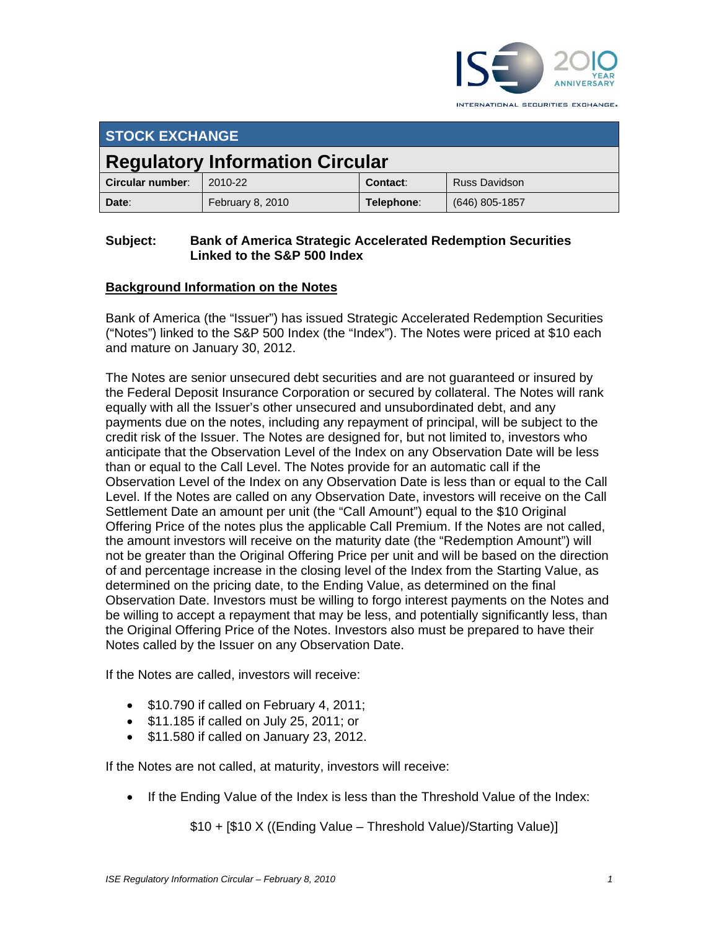

INTERNATIONAL SECURITIES EXCHANGE.

| <b>STOCK EXCHANGE</b>                  |                  |            |                      |
|----------------------------------------|------------------|------------|----------------------|
| <b>Regulatory Information Circular</b> |                  |            |                      |
| Circular number:                       | 2010-22          | Contact:   | <b>Russ Davidson</b> |
| Date:                                  | February 8, 2010 | Telephone: | (646) 805-1857       |

## **Subject: Bank of America Strategic Accelerated Redemption Securities Linked to the S&P 500 Index**

## **Background Information on the Notes**

Bank of America (the "Issuer") has issued Strategic Accelerated Redemption Securities ("Notes") linked to the S&P 500 Index (the "Index"). The Notes were priced at \$10 each and mature on January 30, 2012.

The Notes are senior unsecured debt securities and are not guaranteed or insured by the Federal Deposit Insurance Corporation or secured by collateral. The Notes will rank equally with all the Issuer's other unsecured and unsubordinated debt, and any payments due on the notes, including any repayment of principal, will be subject to the credit risk of the Issuer. The Notes are designed for, but not limited to, investors who anticipate that the Observation Level of the Index on any Observation Date will be less than or equal to the Call Level. The Notes provide for an automatic call if the Observation Level of the Index on any Observation Date is less than or equal to the Call Level. If the Notes are called on any Observation Date, investors will receive on the Call Settlement Date an amount per unit (the "Call Amount") equal to the \$10 Original Offering Price of the notes plus the applicable Call Premium. If the Notes are not called, the amount investors will receive on the maturity date (the "Redemption Amount") will not be greater than the Original Offering Price per unit and will be based on the direction of and percentage increase in the closing level of the Index from the Starting Value, as determined on the pricing date, to the Ending Value, as determined on the final Observation Date. Investors must be willing to forgo interest payments on the Notes and be willing to accept a repayment that may be less, and potentially significantly less, than the Original Offering Price of the Notes. Investors also must be prepared to have their Notes called by the Issuer on any Observation Date.

If the Notes are called, investors will receive:

- $\bullet$  \$10.790 if called on February 4, 2011;
- \$11.185 if called on July 25, 2011; or
- $\bullet$  \$11.580 if called on January 23, 2012.

If the Notes are not called, at maturity, investors will receive:

• If the Ending Value of the Index is less than the Threshold Value of the Index:

\$10 + [\$10 X ((Ending Value – Threshold Value)/Starting Value)]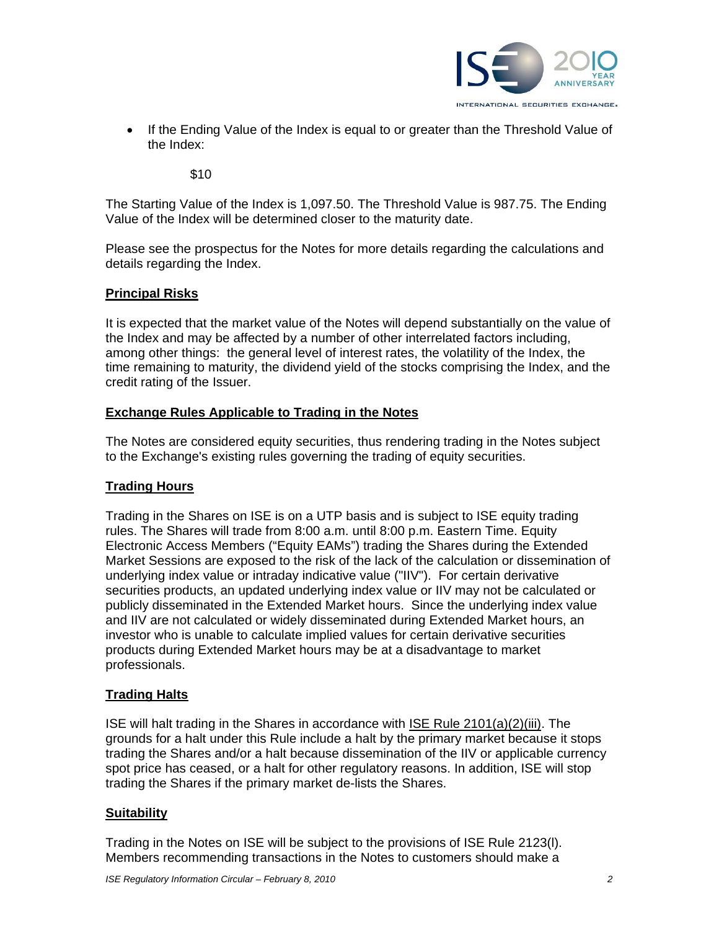

• If the Ending Value of the Index is equal to or greater than the Threshold Value of the Index:

\$10

The Starting Value of the Index is 1,097.50. The Threshold Value is 987.75. The Ending Value of the Index will be determined closer to the maturity date.

Please see the prospectus for the Notes for more details regarding the calculations and details regarding the Index.

#### **Principal Risks**

It is expected that the market value of the Notes will depend substantially on the value of the Index and may be affected by a number of other interrelated factors including, among other things: the general level of interest rates, the volatility of the Index, the time remaining to maturity, the dividend yield of the stocks comprising the Index, and the credit rating of the Issuer.

#### **Exchange Rules Applicable to Trading in the Notes**

The Notes are considered equity securities, thus rendering trading in the Notes subject to the Exchange's existing rules governing the trading of equity securities.

#### **Trading Hours**

Trading in the Shares on ISE is on a UTP basis and is subject to ISE equity trading rules. The Shares will trade from 8:00 a.m. until 8:00 p.m. Eastern Time. Equity Electronic Access Members ("Equity EAMs") trading the Shares during the Extended Market Sessions are exposed to the risk of the lack of the calculation or dissemination of underlying index value or intraday indicative value ("IIV"). For certain derivative securities products, an updated underlying index value or IIV may not be calculated or publicly disseminated in the Extended Market hours. Since the underlying index value and IIV are not calculated or widely disseminated during Extended Market hours, an investor who is unable to calculate implied values for certain derivative securities products during Extended Market hours may be at a disadvantage to market professionals.

## **Trading Halts**

ISE will halt trading in the Shares in accordance with ISE Rule 2101(a)(2)(iii). The grounds for a halt under this Rule include a halt by the primary market because it stops trading the Shares and/or a halt because dissemination of the IIV or applicable currency spot price has ceased, or a halt for other regulatory reasons. In addition, ISE will stop trading the Shares if the primary market de-lists the Shares.

#### **Suitability**

Trading in the Notes on ISE will be subject to the provisions of ISE Rule 2123(l). Members recommending transactions in the Notes to customers should make a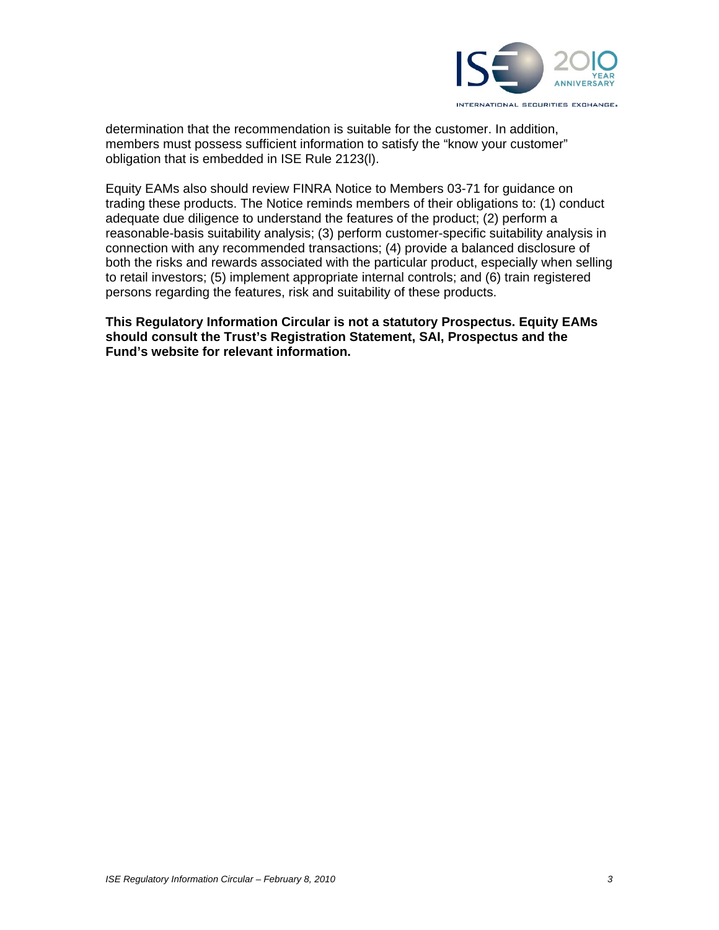

determination that the recommendation is suitable for the customer. In addition, members must possess sufficient information to satisfy the "know your customer" obligation that is embedded in ISE Rule 2123(l).

Equity EAMs also should review FINRA Notice to Members 03-71 for guidance on trading these products. The Notice reminds members of their obligations to: (1) conduct adequate due diligence to understand the features of the product; (2) perform a reasonable-basis suitability analysis; (3) perform customer-specific suitability analysis in connection with any recommended transactions; (4) provide a balanced disclosure of both the risks and rewards associated with the particular product, especially when selling to retail investors; (5) implement appropriate internal controls; and (6) train registered persons regarding the features, risk and suitability of these products.

**This Regulatory Information Circular is not a statutory Prospectus. Equity EAMs should consult the Trust's Registration Statement, SAI, Prospectus and the Fund's website for relevant information.**